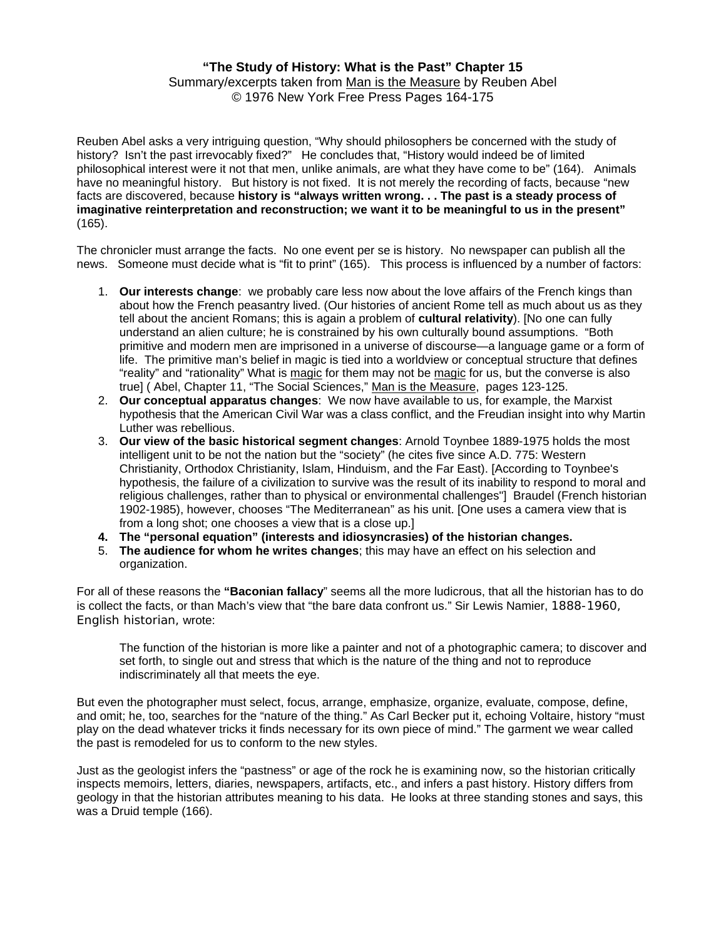## **"The Study of History: What is the Past" Chapter 15**  Summary/excerpts taken from Man is the Measure by Reuben Abel © 1976 New York Free Press Pages 164-175

Reuben Abel asks a very intriguing question, "Why should philosophers be concerned with the study of history? Isn't the past irrevocably fixed?" He concludes that, "History would indeed be of limited philosophical interest were it not that men, unlike animals, are what they have come to be" (164). Animals have no meaningful history. But history is not fixed. It is not merely the recording of facts, because "new facts are discovered, because **history is "always written wrong. . . The past is a steady process of imaginative reinterpretation and reconstruction; we want it to be meaningful to us in the present"** (165).

The chronicler must arrange the facts. No one event per se is history. No newspaper can publish all the news. Someone must decide what is "fit to print" (165). This process is influenced by a number of factors:

- 1. **Our interests change**: we probably care less now about the love affairs of the French kings than about how the French peasantry lived. (Our histories of ancient Rome tell as much about us as they tell about the ancient Romans; this is again a problem of **cultural relativity**). [No one can fully understand an alien culture; he is constrained by his own culturally bound assumptions. "Both primitive and modern men are imprisoned in a universe of discourse—a language game or a form of life. The primitive man's belief in magic is tied into a worldview or conceptual structure that defines "reality" and "rationality" What is magic for them may not be magic for us, but the converse is also true] ( Abel, Chapter 11, "The Social Sciences," Man is the Measure, pages 123-125.
- 2. **Our conceptual apparatus changes**: We now have available to us, for example, the Marxist hypothesis that the American Civil War was a class conflict, and the Freudian insight into why Martin Luther was rebellious.
- 3. **Our view of the basic historical segment changes**: Arnold Toynbee 1889-1975 holds the most intelligent unit to be not the nation but the "society" (he cites five since A.D. 775: Western Christianity, Orthodox Christianity, Islam, Hinduism, and the Far East). [According to Toynbee's hypothesis, the failure of a civilization to survive was the result of its inability to respond to moral and religious challenges, rather than to physical or environmental challenges"] Braudel (French historian 1902-1985), however, chooses "The Mediterranean" as his unit. [One uses a camera view that is from a long shot; one chooses a view that is a close up.]
- **4. The "personal equation" (interests and idiosyncrasies) of the historian changes.**
- 5. **The audience for whom he writes changes**; this may have an effect on his selection and organization.

For all of these reasons the **"Baconian fallacy**" seems all the more ludicrous, that all the historian has to do is collect the facts, or than Mach's view that "the bare data confront us." Sir Lewis Namier, 1888-1960, English historian, wrote:

The function of the historian is more like a painter and not of a photographic camera; to discover and set forth, to single out and stress that which is the nature of the thing and not to reproduce indiscriminately all that meets the eye.

But even the photographer must select, focus, arrange, emphasize, organize, evaluate, compose, define, and omit; he, too, searches for the "nature of the thing." As Carl Becker put it, echoing Voltaire, history "must play on the dead whatever tricks it finds necessary for its own piece of mind." The garment we wear called the past is remodeled for us to conform to the new styles.

Just as the geologist infers the "pastness" or age of the rock he is examining now, so the historian critically inspects memoirs, letters, diaries, newspapers, artifacts, etc., and infers a past history. History differs from geology in that the historian attributes meaning to his data. He looks at three standing stones and says, this was a Druid temple (166).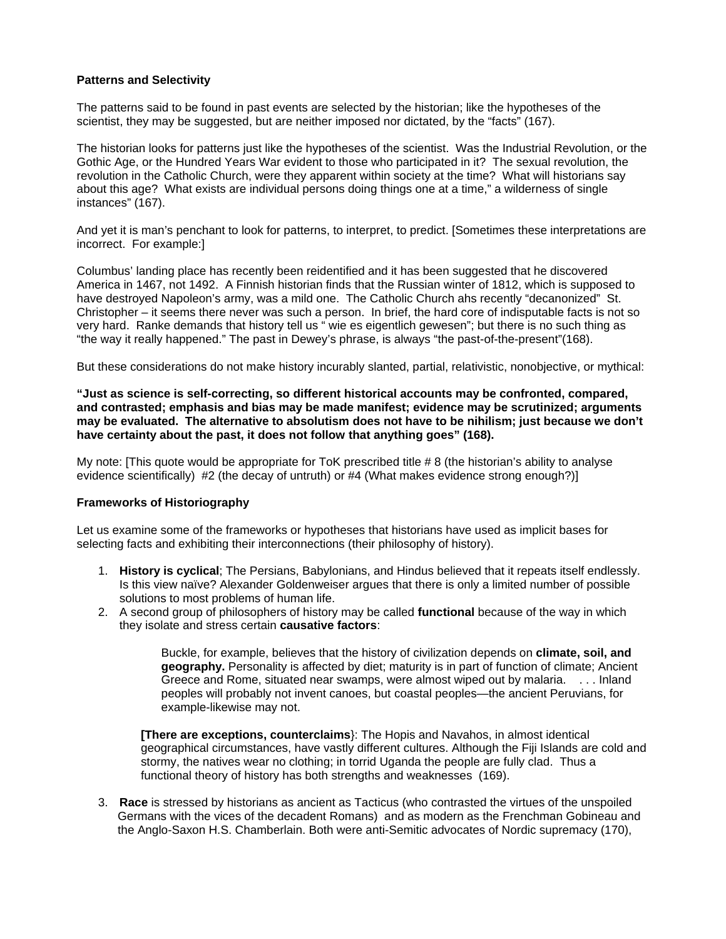## **Patterns and Selectivity**

The patterns said to be found in past events are selected by the historian; like the hypotheses of the scientist, they may be suggested, but are neither imposed nor dictated, by the "facts" (167).

The historian looks for patterns just like the hypotheses of the scientist. Was the Industrial Revolution, or the Gothic Age, or the Hundred Years War evident to those who participated in it? The sexual revolution, the revolution in the Catholic Church, were they apparent within society at the time? What will historians say about this age? What exists are individual persons doing things one at a time," a wilderness of single instances" (167).

And yet it is man's penchant to look for patterns, to interpret, to predict. [Sometimes these interpretations are incorrect. For example:]

Columbus' landing place has recently been reidentified and it has been suggested that he discovered America in 1467, not 1492. A Finnish historian finds that the Russian winter of 1812, which is supposed to have destroyed Napoleon's army, was a mild one. The Catholic Church ahs recently "decanonized" St. Christopher – it seems there never was such a person. In brief, the hard core of indisputable facts is not so very hard. Ranke demands that history tell us " wie es eigentlich gewesen"; but there is no such thing as "the way it really happened." The past in Dewey's phrase, is always "the past-of-the-present"(168).

But these considerations do not make history incurably slanted, partial, relativistic, nonobjective, or mythical:

**"Just as science is self-correcting, so different historical accounts may be confronted, compared, and contrasted; emphasis and bias may be made manifest; evidence may be scrutinized; arguments may be evaluated. The alternative to absolutism does not have to be nihilism; just because we don't have certainty about the past, it does not follow that anything goes" (168).** 

My note: [This quote would be appropriate for ToK prescribed title # 8 (the historian's ability to analyse evidence scientifically) #2 (the decay of untruth) or #4 (What makes evidence strong enough?)]

## **Frameworks of Historiography**

Let us examine some of the frameworks or hypotheses that historians have used as implicit bases for selecting facts and exhibiting their interconnections (their philosophy of history).

- 1. **History is cyclical**; The Persians, Babylonians, and Hindus believed that it repeats itself endlessly. Is this view naïve? Alexander Goldenweiser argues that there is only a limited number of possible solutions to most problems of human life.
- 2. A second group of philosophers of history may be called **functional** because of the way in which they isolate and stress certain **causative factors**:

Buckle, for example, believes that the history of civilization depends on **climate, soil, and geography.** Personality is affected by diet; maturity is in part of function of climate; Ancient Greece and Rome, situated near swamps, were almost wiped out by malaria. . . . Inland peoples will probably not invent canoes, but coastal peoples—the ancient Peruvians, for example-likewise may not.

**[There are exceptions, counterclaims**}: The Hopis and Navahos, in almost identical geographical circumstances, have vastly different cultures. Although the Fiji Islands are cold and stormy, the natives wear no clothing; in torrid Uganda the people are fully clad. Thus a functional theory of history has both strengths and weaknesses (169).

3. **Race** is stressed by historians as ancient as Tacticus (who contrasted the virtues of the unspoiled Germans with the vices of the decadent Romans) and as modern as the Frenchman Gobineau and the Anglo-Saxon H.S. Chamberlain. Both were anti-Semitic advocates of Nordic supremacy (170),